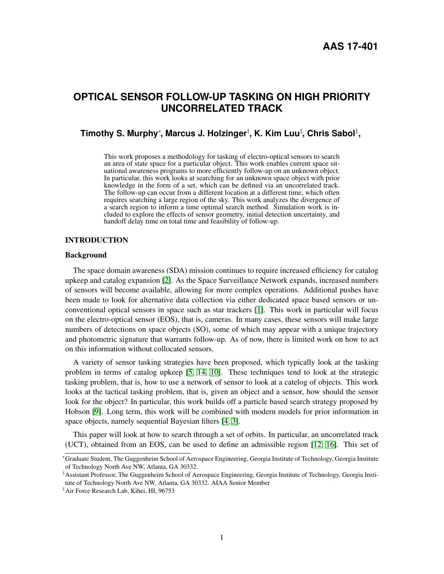# **OPTICAL SENSOR FOLLOW-UP TASKING ON HIGH PRIORITY UNCORRELATED TRACK**

## **Timothy S. Murphy**<sup>∗</sup> **, Marcus J. Holzinger**† **, K. Kim Luu**‡ **, Chris Sabol**‡ **,**

This work proposes a methodology for tasking of electro-optical sensors to search an area of state space for a particular object. This work enables current space situational awareness programs to more efficiently follow-up on an unknown object. In particular, this work looks at searching for an unknown space object with prior knowledge in the form of a set, which can be defined via an uncorrelated track. The follow-up can occur from a different location at a different time, which often requires searching a large region of the sky. This work analyzes the divergence of a search region to inform a time optimal search method. Simulation work is included to explore the effects of sensor geometry, initial detection uncertainty, and handoff delay time on total time and feasibility of follow-up.

## **INTRODUCTION**

## Background

The space domain awareness (SDA) mission continues to require increased efficiency for catalog upkeep and catalog expansion [\[2\]](#page-16-0). As the Space Surveillance Network expands, increased numbers of sensors will become available, allowing for more complex operations. Additional pushes have been made to look for alternative data collection via either dedicated space based sensors or unconventional optical sensors in space such as star trackers [\[1\]](#page-16-1). This work in particular will focus on the electro-optical sensor (EOS), that is, cameras. In many cases, these sensors will make large numbers of detections on space objects (SO), some of which may appear with a unique trajectory and photometric signature that warrants follow-up. As of now, there is limited work on how to act on this information without collocated sensors.

A variety of sensor tasking strategies have been proposed, which typically look at the tasking problem in terms of catalog upkeep [\[5,](#page-16-2) [14,](#page-16-3) [10\]](#page-16-4). These techniques tend to look at the strategic tasking problem, that is, how to use a network of sensor to look at a catelog of objects. This work looks at the tactical tasking problem, that is, given an object and a sensor, how should the sensor look for the object? In particular, this work builds off a particle based search strategy proposed by Hobson [\[9\]](#page-16-5). Long term, this work will be combined with modern models for prior information in space objects, namely sequential Bayesian filters [\[4,](#page-16-6) [3\]](#page-16-7).

This paper will look at how to search through a set of orbits. In particular, an uncorrelated track (UCT), obtained from an EOS, can be used to define an admissible region [\[12,](#page-16-8) [16\]](#page-17-0). This set of

<sup>∗</sup>Graduate Student, The Guggenheim School of Aerospace Engineering, Georgia Institute of Technology, Georgia Institute of Technology North Ave NW, Atlanta, GA 30332.

<sup>†</sup>Assistant Professor, The Guggenheim School of Aerospace Engineering, Georgia Institute of Technology, Georgia Institute of Technology North Ave NW, Atlanta, GA 30332. AIAA Senior Member

<sup>‡</sup>Air Force Research Lab, Kihei, HI, 96753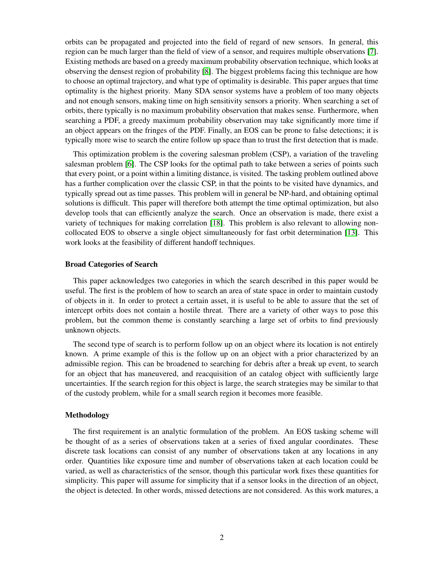orbits can be propagated and projected into the field of regard of new sensors. In general, this region can be much larger than the field of view of a sensor, and requires multiple observations [\[7\]](#page-16-9). Existing methods are based on a greedy maximum probability observation technique, which looks at observing the densest region of probability [\[8\]](#page-16-10). The biggest problems facing this technique are how to choose an optimal trajectory, and what type of optimality is desirable. This paper argues that time optimality is the highest priority. Many SDA sensor systems have a problem of too many objects and not enough sensors, making time on high sensitivity sensors a priority. When searching a set of orbits, there typically is no maximum probability observation that makes sense. Furthermore, when searching a PDF, a greedy maximum probability observation may take significantly more time if an object appears on the fringes of the PDF. Finally, an EOS can be prone to false detections; it is typically more wise to search the entire follow up space than to trust the first detection that is made.

This optimization problem is the covering salesman problem (CSP), a variation of the traveling salesman problem [\[6\]](#page-16-11). The CSP looks for the optimal path to take between a series of points such that every point, or a point within a limiting distance, is visited. The tasking problem outlined above has a further complication over the classic CSP, in that the points to be visited have dynamics, and typically spread out as time passes. This problem will in general be NP-hard, and obtaining optimal solutions is difficult. This paper will therefore both attempt the time optimal optimization, but also develop tools that can efficiently analyze the search. Once an observation is made, there exist a variety of techniques for making correlation [\[18\]](#page-17-1). This problem is also relevant to allowing noncollocated EOS to observe a single object simultaneously for fast orbit determination [\[13\]](#page-16-12). This work looks at the feasibility of different handoff techniques.

#### Broad Categories of Search

This paper acknowledges two categories in which the search described in this paper would be useful. The first is the problem of how to search an area of state space in order to maintain custody of objects in it. In order to protect a certain asset, it is useful to be able to assure that the set of intercept orbits does not contain a hostile threat. There are a variety of other ways to pose this problem, but the common theme is constantly searching a large set of orbits to find previously unknown objects.

The second type of search is to perform follow up on an object where its location is not entirely known. A prime example of this is the follow up on an object with a prior characterized by an admissible region. This can be broadened to searching for debris after a break up event, to search for an object that has maneuvered, and reacquisition of an catalog object with sufficiently large uncertainties. If the search region for this object is large, the search strategies may be similar to that of the custody problem, while for a small search region it becomes more feasible.

#### Methodology

The first requirement is an analytic formulation of the problem. An EOS tasking scheme will be thought of as a series of observations taken at a series of fixed angular coordinates. These discrete task locations can consist of any number of observations taken at any locations in any order. Quantities like exposure time and number of observations taken at each location could be varied, as well as characteristics of the sensor, though this particular work fixes these quantities for simplicity. This paper will assume for simplicity that if a sensor looks in the direction of an object, the object is detected. In other words, missed detections are not considered. As this work matures, a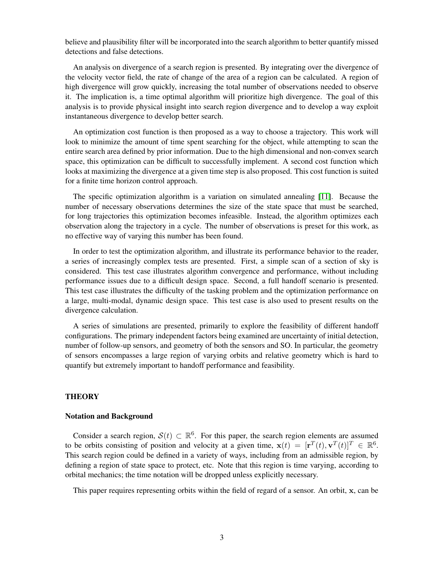believe and plausibility filter will be incorporated into the search algorithm to better quantify missed detections and false detections.

An analysis on divergence of a search region is presented. By integrating over the divergence of the velocity vector field, the rate of change of the area of a region can be calculated. A region of high divergence will grow quickly, increasing the total number of observations needed to observe it. The implication is, a time optimal algorithm will prioritize high divergence. The goal of this analysis is to provide physical insight into search region divergence and to develop a way exploit instantaneous divergence to develop better search.

An optimization cost function is then proposed as a way to choose a trajectory. This work will look to minimize the amount of time spent searching for the object, while attempting to scan the entire search area defined by prior information. Due to the high dimensional and non-convex search space, this optimization can be difficult to successfully implement. A second cost function which looks at maximizing the divergence at a given time step is also proposed. This cost function is suited for a finite time horizon control approach.

The specific optimization algorithm is a variation on simulated annealing [\[11\]](#page-16-13). Because the number of necessary observations determines the size of the state space that must be searched, for long trajectories this optimization becomes infeasible. Instead, the algorithm optimizes each observation along the trajectory in a cycle. The number of observations is preset for this work, as no effective way of varying this number has been found.

In order to test the optimization algorithm, and illustrate its performance behavior to the reader, a series of increasingly complex tests are presented. First, a simple scan of a section of sky is considered. This test case illustrates algorithm convergence and performance, without including performance issues due to a difficult design space. Second, a full handoff scenario is presented. This test case illustrates the difficulty of the tasking problem and the optimization performance on a large, multi-modal, dynamic design space. This test case is also used to present results on the divergence calculation.

A series of simulations are presented, primarily to explore the feasibility of different handoff configurations. The primary independent factors being examined are uncertainty of initial detection, number of follow-up sensors, and geometry of both the sensors and SO. In particular, the geometry of sensors encompasses a large region of varying orbits and relative geometry which is hard to quantify but extremely important to handoff performance and feasibility.

## **THEORY**

#### Notation and Background

Consider a search region,  $S(t) \subset \mathbb{R}^6$ . For this paper, the search region elements are assumed to be orbits consisting of position and velocity at a given time,  $\mathbf{x}(t) = [\mathbf{r}^T(t), \mathbf{v}^T(t)]^T \in \mathbb{R}^6$ . This search region could be defined in a variety of ways, including from an admissible region, by defining a region of state space to protect, etc. Note that this region is time varying, according to orbital mechanics; the time notation will be dropped unless explicitly necessary.

This paper requires representing orbits within the field of regard of a sensor. An orbit, x, can be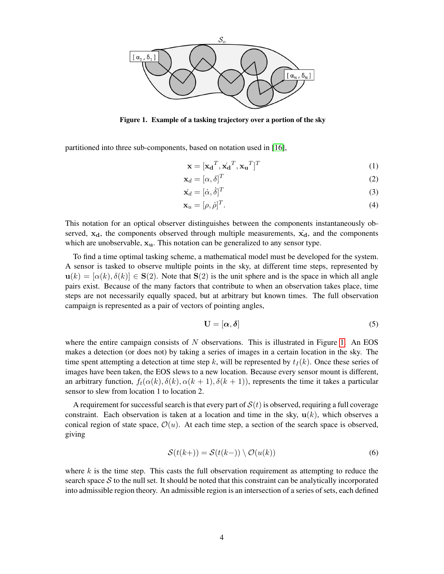

<span id="page-3-0"></span>Figure 1. Example of a tasking trajectory over a portion of the sky

partitioned into three sub-components, based on notation used in [\[16\]](#page-17-0),

$$
\mathbf{x} = [\mathbf{x_d}^T, \dot{\mathbf{x_d}}^T, \mathbf{x_u}^T]^T
$$
 (1)

$$
\mathbf{x}_d = [\alpha, \delta]^T \tag{2}
$$

$$
\dot{\mathbf{x}}_d = [\dot{\alpha}, \dot{\delta}]^T \tag{3}
$$

$$
\mathbf{x}_u = [\rho, \dot{\rho}]^T. \tag{4}
$$

This notation for an optical observer distinguishes between the components instantaneously observed,  $x_d$ , the components observed through multiple measurements,  $\dot{x}_d$ , and the components which are unobservable,  $x<sub>u</sub>$ . This notation can be generalized to any sensor type.

To find a time optimal tasking scheme, a mathematical model must be developed for the system. A sensor is tasked to observe multiple points in the sky, at different time steps, represented by  $u(k) = [\alpha(k), \delta(k)] \in S(2)$ . Note that  $S(2)$  is the unit sphere and is the space in which all angle pairs exist. Because of the many factors that contribute to when an observation takes place, time steps are not necessarily equally spaced, but at arbitrary but known times. The full observation campaign is represented as a pair of vectors of pointing angles,

<span id="page-3-2"></span>
$$
\mathbf{U} = [\alpha, \delta] \tag{5}
$$

where the entire campaign consists of  $N$  observations. This is illustrated in Figure [1.](#page-3-0) An EOS makes a detection (or does not) by taking a series of images in a certain location in the sky. The time spent attempting a detection at time step k, will be represented by  $t<sub>I</sub>(k)$ . Once these series of images have been taken, the EOS slews to a new location. Because every sensor mount is different, an arbitrary function,  $f_t(\alpha(k), \delta(k), \alpha(k+1), \delta(k+1))$ , represents the time it takes a particular sensor to slew from location 1 to location 2.

A requirement for successful search is that every part of  $S(t)$  is observed, requiring a full coverage constraint. Each observation is taken at a location and time in the sky,  $\mathbf{u}(k)$ , which observes a conical region of state space,  $\mathcal{O}(u)$ . At each time step, a section of the search space is observed, giving

<span id="page-3-1"></span>
$$
\mathcal{S}(t(k+)) = \mathcal{S}(t(k-)) \setminus \mathcal{O}(u(k))
$$
\n(6)

where  $k$  is the time step. This casts the full observation requirement as attempting to reduce the search space  $S$  to the null set. It should be noted that this constraint can be analytically incorporated into admissible region theory. An admissible region is an intersection of a series of sets, each defined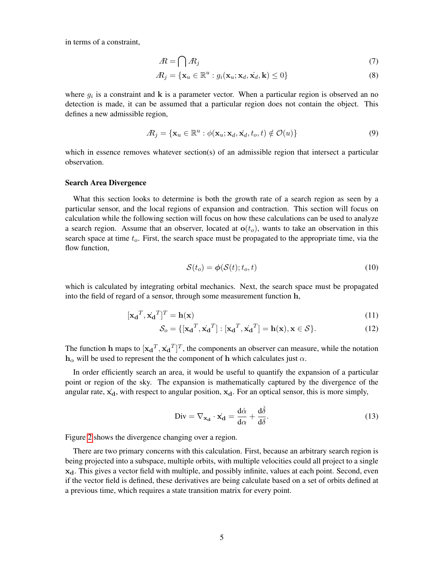in terms of a constraint,

$$
A = \bigcap A_j \tag{7}
$$

$$
A_j = \{ \mathbf{x}_u \in \mathbb{R}^u : g_i(\mathbf{x}_u; \mathbf{x}_d, \mathbf{x}_d, \mathbf{k}) \le 0 \}
$$
\n
$$
(8)
$$

where  $g_i$  is a constraint and  $k$  is a parameter vector. When a particular region is observed an no detection is made, it can be assumed that a particular region does not contain the object. This defines a new admissible region,

$$
A_j = \{ \mathbf{x}_u \in \mathbb{R}^u : \phi(\mathbf{x}_u; \mathbf{x}_d, \mathbf{x}_d, t_o, t) \notin \mathcal{O}(u) \}
$$
(9)

which in essence removes whatever section(s) of an admissible region that intersect a particular observation.

#### Search Area Divergence

What this section looks to determine is both the growth rate of a search region as seen by a particular sensor, and the local regions of expansion and contraction. This section will focus on calculation while the following section will focus on how these calculations can be used to analyze a search region. Assume that an observer, located at  $o(t_o)$ , wants to take an observation in this search space at time  $t<sub>o</sub>$ . First, the search space must be propagated to the appropriate time, via the flow function,

$$
\mathcal{S}(t_o) = \phi(\mathcal{S}(t); t_o, t) \tag{10}
$$

which is calculated by integrating orbital mechanics. Next, the search space must be propagated into the field of regard of a sensor, through some measurement function h,

$$
[\mathbf{x_d}^T, \dot{\mathbf{x_d}}^T]^T = \mathbf{h}(\mathbf{x})
$$
\n(11)

$$
\mathcal{S}_o = \{ [\mathbf{x_d}^T, \mathbf{x_d}^T] : [\mathbf{x_d}^T, \mathbf{x_d}^T] = \mathbf{h}(\mathbf{x}), \mathbf{x} \in \mathcal{S} \}.
$$
 (12)

The function h maps to  $[\mathbf{x_d}^T, \mathbf{x_d}^T]^T$ , the components an observer can measure, while the notation  $h_{\alpha}$  will be used to represent the the component of h which calculates just  $\alpha$ .

In order efficiently search an area, it would be useful to quantify the expansion of a particular point or region of the sky. The expansion is mathematically captured by the divergence of the angular rate,  $\dot{x}_d$ , with respect to angular position,  $x_d$ . For an optical sensor, this is more simply,

$$
\text{Div} = \nabla_{\mathbf{x_d}} \cdot \dot{\mathbf{x_d}} = \frac{d\dot{\alpha}}{d\alpha} + \frac{d\dot{\delta}}{d\delta}.
$$
 (13)

Figure [2](#page-5-0) shows the divergence changing over a region.

There are two primary concerns with this calculation. First, because an arbitrary search region is being projected into a subspace, multiple orbits, with multiple velocities could all project to a single  $x_d$ . This gives a vector field with multiple, and possibly infinite, values at each point. Second, even if the vector field is defined, these derivatives are being calculate based on a set of orbits defined at a previous time, which requires a state transition matrix for every point.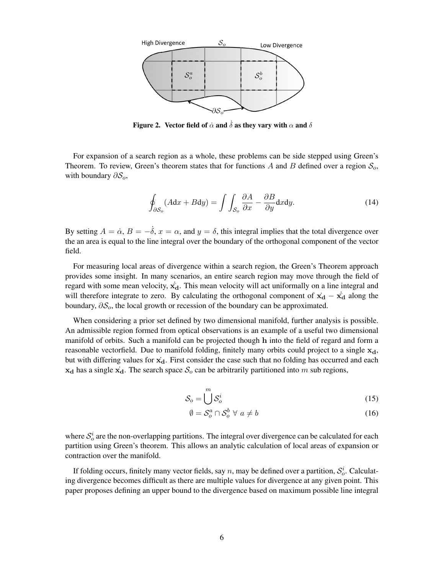

<span id="page-5-0"></span>Figure 2. Vector field of  $\dot{\alpha}$  and  $\dot{\delta}$  as they vary with  $\alpha$  and  $\delta$ 

For expansion of a search region as a whole, these problems can be side stepped using Green's Theorem. To review, Green's theorem states that for functions A and B defined over a region  $\mathcal{S}_o$ , with boundary  $\partial S_o$ ,

$$
\oint_{\partial S_o} (A dx + B dy) = \int \int_{S_o} \frac{\partial A}{\partial x} - \frac{\partial B}{\partial y} dx dy.
$$
\n(14)

By setting  $A = \dot{\alpha}, B = -\dot{\delta}, x = \alpha$ , and  $y = \delta$ , this integral implies that the total divergence over the an area is equal to the line integral over the boundary of the orthogonal component of the vector field.

For measuring local areas of divergence within a search region, the Green's Theorem approach provides some insight. In many scenarios, an entire search region may move through the field of regard with some mean velocity,  $\dot{x_d}$ . This mean velocity will act uniformally on a line integral and will therefore integrate to zero. By calculating the orthogonal component of  $\dot{x_d} - \dot{x_d}$  along the boundary,  $\partial S_o$ , the local growth or recession of the boundary can be approximated.

When considering a prior set defined by two dimensional manifold, further analysis is possible. An admissible region formed from optical observations is an example of a useful two dimensional manifold of orbits. Such a manifold can be projected though h into the field of regard and form a reasonable vectorfield. Due to manifold folding, finitely many orbits could project to a single  $x_d$ , but with differing values for  $\vec{x}_d$ . First consider the case such that no folding has occurred and each  $x_d$  has a single  $x_d$ . The search space  $S_o$  can be arbitrarily partitioned into m sub regions,

$$
\mathcal{S}_o = \bigcup^m \mathcal{S}_o^i \tag{15}
$$

$$
\emptyset = \mathcal{S}_o^a \cap \mathcal{S}_o^b \ \forall \ a \neq b \tag{16}
$$

where  $S_o^i$  are the non-overlapping partitions. The integral over divergence can be calculated for each partition using Green's theorem. This allows an analytic calculation of local areas of expansion or contraction over the manifold.

If folding occurs, finitely many vector fields, say n, may be defined over a partition,  $\mathcal{S}_o^i$ . Calculating divergence becomes difficult as there are multiple values for divergence at any given point. This paper proposes defining an upper bound to the divergence based on maximum possible line integral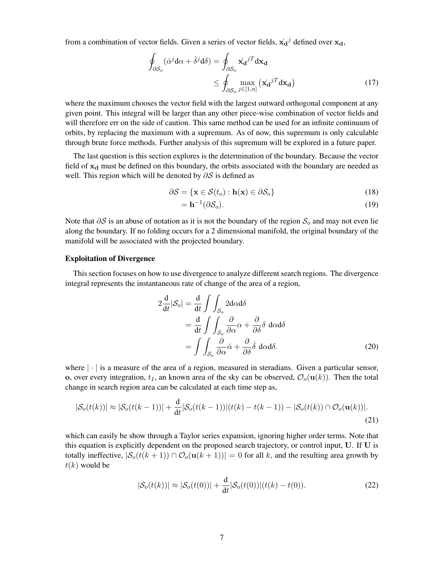from a combination of vector fields. Given a series of vector fields,  $\dot{x_d}^j$  defined over  $x_d$ ,

$$
\oint_{\partial S_o} (\dot{\alpha}^j \mathbf{d}\alpha + \dot{\delta}^j \mathbf{d}\delta) = \oint_{\partial S_o} \dot{\mathbf{x_d}}^{jT} \mathbf{d}\mathbf{x_d} \n\leq \oint_{\partial S_o} \max_{j \in [1, n]} (\mathbf{x_d}^{jT} \mathbf{d}\mathbf{x_d})
$$
\n(17)

where the maximum chooses the vector field with the largest outward orthogonal component at any given point. This integral will be larger than any other piece-wise combination of vector fields and will therefore err on the side of caution. This same method can be used for an infinite continuum of orbits, by replacing the maximum with a supremum. As of now, this supremum is only calculable through brute force methods. Further analysis of this supremum will be explored in a future paper.

The last question is this section explores is the determination of the boundary. Because the vector field of  $x_d$  must be defined on this boundary, the orbits associated with the boundary are needed as well. This region which will be denoted by  $\partial S$  is defined as

$$
\partial \mathcal{S} = \{ \mathbf{x} \in \mathcal{S}(t_o) : \mathbf{h}(\mathbf{x}) \in \partial \mathcal{S}_o \}
$$
(18)

$$
= \mathbf{h}^{-1}(\partial \mathcal{S}_o). \tag{19}
$$

Note that  $\partial S$  is an abuse of notation as it is not the boundary of the region  $S_0$  and may not even lie along the boundary. If no folding occurs for a 2 dimensional manifold, the original boundary of the manifold will be associated with the projected boundary.

#### Exploitation of Divergence

This section focuses on how to use divergence to analyze different search regions. The divergence integral represents the instantaneous rate of change of the area of a region,

<span id="page-6-1"></span>
$$
2\frac{d}{dt}|\mathcal{S}_o| = \frac{d}{dt} \int \int_{\mathcal{S}_o} 2d\alpha d\delta
$$
  
= 
$$
\frac{d}{dt} \int \int_{\mathcal{S}_o} \frac{\partial}{\partial \alpha} \alpha + \frac{\partial}{\partial \delta} \delta d\alpha d\delta
$$
  
= 
$$
\int \int_{\mathcal{S}_o} \frac{\partial}{\partial \alpha} \dot{\alpha} + \frac{\partial}{\partial \delta} \dot{\delta} d\alpha d\delta.
$$
 (20)

where  $|\cdot|$  is a measure of the area of a region, measured in steradians. Given a particular sensor, o, over every integration,  $t_I$ , an known area of the sky can be observed,  $\mathcal{O}_o(\mathbf{u}(k))$ . Then the total change in search region area can be calculated at each time step as,

$$
|\mathcal{S}_o(t(k))| \approx |\mathcal{S}_o(t(k-1))| + \frac{\mathrm{d}}{\mathrm{d}t} |\mathcal{S}_o(t(k-1))|(t(k)-t(k-1)) - |\mathcal{S}_o(t(k)) \cap \mathcal{O}_o(\mathbf{u}(k))|.
$$
\n(21)

which can easily be show through a Taylor series expansion, ignoring higher order terms. Note that this equation is explicitly dependent on the proposed search trajectory, or control input, U. If U is totally ineffective,  $|S_o(t(k+1)) \cap \mathcal{O}_o(u(k+1))| = 0$  for all k, and the resulting area growth by  $t(k)$  would be

<span id="page-6-0"></span>
$$
|\mathcal{S}_o(t(k))| \approx |\mathcal{S}_o(t(0))| + \frac{\mathrm{d}}{\mathrm{d}t} |\mathcal{S}_o(t(0))|(t(k) - t(0)).
$$
\n(22)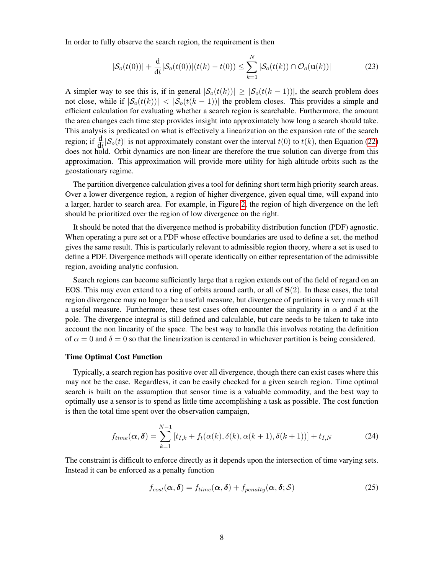In order to fully observe the search region, the requirement is then

<span id="page-7-0"></span>
$$
|S_o(t(0))| + \frac{d}{dt}|S_o(t(0))|(t(k) - t(0)) \le \sum_{k=1}^{N} |S_o(t(k)) \cap \mathcal{O}_o(\mathbf{u}(k))|
$$
 (23)

A simpler way to see this is, if in general  $|S_0(t(k))| \geq |S_0(t(k-1))|$ , the search problem does not close, while if  $|S_o(t(k))| < |S_o(t(k-1))|$  the problem closes. This provides a simple and efficient calculation for evaluating whether a search region is searchable. Furthermore, the amount the area changes each time step provides insight into approximately how long a search should take. This analysis is predicated on what is effectively a linearization on the expansion rate of the search region; if  $\frac{d}{dt} |S_o(t)|$  is not approximately constant over the interval  $t(0)$  to  $t(k)$ , then Equation [\(22\)](#page-6-0) does not hold. Orbit dynamics are non-linear are therefore the true solution can diverge from this approximation. This approximation will provide more utility for high altitude orbits such as the geostationary regime.

The partition divergence calculation gives a tool for defining short term high priority search areas. Over a lower divergence region, a region of higher divergence, given equal time, will expand into a larger, harder to search area. For example, in Figure [2,](#page-5-0) the region of high divergence on the left should be prioritized over the region of low divergence on the right.

It should be noted that the divergence method is probability distribution function (PDF) agnostic. When operating a pure set or a PDF whose effective boundaries are used to define a set, the method gives the same result. This is particularly relevant to admissible region theory, where a set is used to define a PDF. Divergence methods will operate identically on either representation of the admissible region, avoiding analytic confusion.

Search regions can become sufficiently large that a region extends out of the field of regard on an EOS. This may even extend to a ring of orbits around earth, or all of  $S(2)$ . In these cases, the total region divergence may no longer be a useful measure, but divergence of partitions is very much still a useful measure. Furthermore, these test cases often encounter the singularity in  $\alpha$  and  $\delta$  at the pole. The divergence integral is still defined and calculable, but care needs to be taken to take into account the non linearity of the space. The best way to handle this involves rotating the definition of  $\alpha = 0$  and  $\delta = 0$  so that the linearization is centered in whichever partition is being considered.

#### Time Optimal Cost Function

Typically, a search region has positive over all divergence, though there can exist cases where this may not be the case. Regardless, it can be easily checked for a given search region. Time optimal search is built on the assumption that sensor time is a valuable commodity, and the best way to optimally use a sensor is to spend as little time accomplishing a task as possible. The cost function is then the total time spent over the observation campaign,

$$
f_{time}(\boldsymbol{\alpha}, \boldsymbol{\delta}) = \sum_{k=1}^{N-1} [t_{I,k} + f_t(\alpha(k), \delta(k), \alpha(k+1), \delta(k+1))] + t_{I,N}
$$
(24)

The constraint is difficult to enforce directly as it depends upon the intersection of time varying sets. Instead it can be enforced as a penalty function

$$
f_{cost}(\boldsymbol{\alpha}, \boldsymbol{\delta}) = f_{time}(\boldsymbol{\alpha}, \boldsymbol{\delta}) + f_{penalty}(\boldsymbol{\alpha}, \boldsymbol{\delta}; \mathcal{S})
$$
\n(25)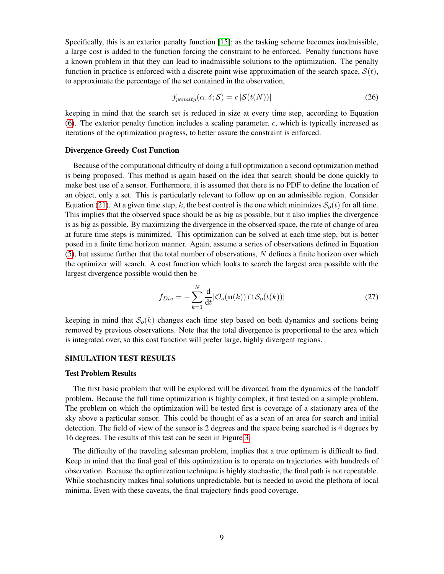Specifically, this is an exterior penalty function [\[15\]](#page-16-14); as the tasking scheme becomes inadmissible, a large cost is added to the function forcing the constraint to be enforced. Penalty functions have a known problem in that they can lead to inadmissible solutions to the optimization. The penalty function in practice is enforced with a discrete point wise approximation of the search space,  $S(t)$ , to approximate the percentage of the set contained in the observation,

$$
f_{penalty}(\alpha, \delta; \mathcal{S}) = c \, |\mathcal{S}(t(N))| \tag{26}
$$

keeping in mind that the search set is reduced in size at every time step, according to Equation [\(6\)](#page-3-1). The exterior penalty function includes a scaling parameter,  $c$ , which is typically increased as iterations of the optimization progress, to better assure the constraint is enforced.

#### Divergence Greedy Cost Function

Because of the computational difficulty of doing a full optimization a second optimization method is being proposed. This method is again based on the idea that search should be done quickly to make best use of a sensor. Furthermore, it is assumed that there is no PDF to define the location of an object, only a set. This is particularly relevant to follow up on an admissible region. Consider Equation [\(21\)](#page-6-1). At a given time step, k, the best control is the one which minimizes  $S<sub>o</sub>(t)$  for all time. This implies that the observed space should be as big as possible, but it also implies the divergence is as big as possible. By maximizing the divergence in the observed space, the rate of change of area at future time steps is minimized. This optimization can be solved at each time step, but is better posed in a finite time horizon manner. Again, assume a series of observations defined in Equation  $(5)$ , but assume further that the total number of observations, N defines a finite horizon over which the optimizer will search. A cost function which looks to search the largest area possible with the largest divergence possible would then be

$$
f_{Div} = -\sum_{k=1}^{N} \frac{\mathrm{d}}{\mathrm{d}t} |\mathcal{O}_o(\mathbf{u}(k)) \cap \mathcal{S}_o(t(k))|
$$
 (27)

keeping in mind that  $\mathcal{S}_o(k)$  changes each time step based on both dynamics and sections being removed by previous observations. Note that the total divergence is proportional to the area which is integrated over, so this cost function will prefer large, highly divergent regions.

## SIMULATION TEST RESULTS

#### Test Problem Results

The first basic problem that will be explored will be divorced from the dynamics of the handoff problem. Because the full time optimization is highly complex, it first tested on a simple problem. The problem on which the optimization will be tested first is coverage of a stationary area of the sky above a particular sensor. This could be thought of as a scan of an area for search and initial detection. The field of view of the sensor is 2 degrees and the space being searched is 4 degrees by 16 degrees. The results of this test can be seen in Figure [3.](#page-9-0)

The difficulty of the traveling salesman problem, implies that a true optimum is difficult to find. Keep in mind that the final goal of this optimization is to operate on trajectories with hundreds of observation. Because the optimization technique is highly stochastic, the final path is not repeatable. While stochasticity makes final solutions unpredictable, but is needed to avoid the plethora of local minima. Even with these caveats, the final trajectory finds good coverage.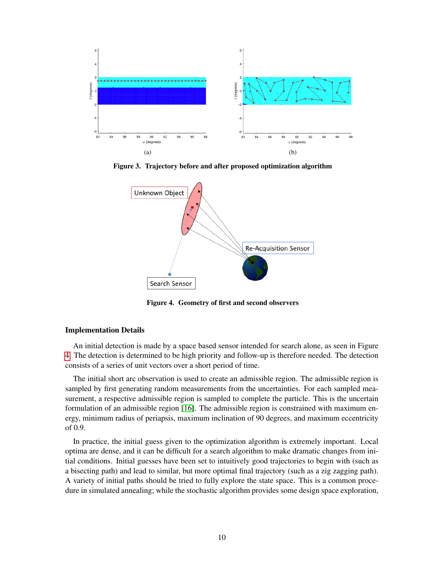

Figure 3. Trajectory before and after proposed optimization algorithm

<span id="page-9-0"></span>

<span id="page-9-1"></span>Figure 4. Geometry of first and second observers

#### Implementation Details

An initial detection is made by a space based sensor intended for search alone, as seen in Figure [4.](#page-9-1) The detection is determined to be high priority and follow-up is therefore needed. The detection consists of a series of unit vectors over a short period of time.

The initial short arc observation is used to create an admissible region. The admissible region is sampled by first generating random measurements from the uncertainties. For each sampled measurement, a respective admissible region is sampled to complete the particle. This is the uncertain formulation of an admissible region [\[16\]](#page-17-0). The admissible region is constrained with maximum energy, minimum radius of periapsis, maximum inclination of 90 degrees, and maximum eccentricity of 0.9.

In practice, the initial guess given to the optimization algorithm is extremely important. Local optima are dense, and it can be difficult for a search algorithm to make dramatic changes from initial conditions. Initial guesses have been set to intuitively good trajectories to begin with (such as a bisecting path) and lead to similar, but more optimal final trajectory (such as a zig zagging path). A variety of initial paths should be tried to fully explore the state space. This is a common procedure in simulated annealing; while the stochastic algorithm provides some design space exploration,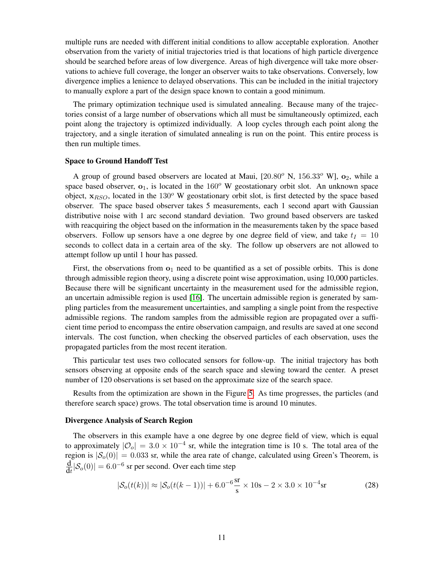multiple runs are needed with different initial conditions to allow acceptable exploration. Another observation from the variety of initial trajectories tried is that locations of high particle divergence should be searched before areas of low divergence. Areas of high divergence will take more observations to achieve full coverage, the longer an observer waits to take observations. Conversely, low divergence implies a lenience to delayed observations. This can be included in the initial trajectory to manually explore a part of the design space known to contain a good minimum.

The primary optimization technique used is simulated annealing. Because many of the trajectories consist of a large number of observations which all must be simultaneously optimized, each point along the trajectory is optimized individually. A loop cycles through each point along the trajectory, and a single iteration of simulated annealing is run on the point. This entire process is then run multiple times.

#### Space to Ground Handoff Test

A group of ground based observers are located at Maui,  $[20.80^\circ \text{ N}, 156.33^\circ \text{ W}]$ ,  $\mathbf{o}_2$ , while a space based observer,  $o_1$ , is located in the  $160^\circ$  W geostationary orbit slot. An unknown space object,  $x_{BSO}$ , located in the 130<sup>o</sup> W geostationary orbit slot, is first detected by the space based observer. The space based observer takes 5 measurements, each 1 second apart with Gaussian distributive noise with 1 arc second standard deviation. Two ground based observers are tasked with reacquiring the object based on the information in the measurements taken by the space based observers. Follow up sensors have a one degree by one degree field of view, and take  $t_1 = 10$ seconds to collect data in a certain area of the sky. The follow up observers are not allowed to attempt follow up until 1 hour has passed.

First, the observations from  $o_1$  need to be quantified as a set of possible orbits. This is done through admissible region theory, using a discrete point wise approximation, using 10,000 particles. Because there will be significant uncertainty in the measurement used for the admissible region, an uncertain admissible region is used [\[16\]](#page-17-0). The uncertain admissible region is generated by sampling particles from the measurement uncertainties, and sampling a single point from the respective admissible regions. The random samples from the admissible region are propagated over a sufficient time period to encompass the entire observation campaign, and results are saved at one second intervals. The cost function, when checking the observed particles of each observation, uses the propagated particles from the most recent iteration.

This particular test uses two collocated sensors for follow-up. The initial trajectory has both sensors observing at opposite ends of the search space and slewing toward the center. A preset number of 120 observations is set based on the approximate size of the search space.

Results from the optimization are shown in the Figure [5.](#page-11-0) As time progresses, the particles (and therefore search space) grows. The total observation time is around 10 minutes.

## Divergence Analysis of Search Region

The observers in this example have a one degree by one degree field of view, which is equal to approximately  $|O_0| = 3.0 \times 10^{-4}$  sr, while the integration time is 10 s. The total area of the region is  $|\mathcal{S}_o(0)| = 0.033$  sr, while the area rate of change, calculated using Green's Theorem, is d  $\frac{d}{dt}|\mathcal{S}_o(0)| = 6.0^{-6}$  sr per second. Over each time step

$$
|\mathcal{S}_o(t(k))| \approx |\mathcal{S}_o(t(k-1))| + 6.0^{-6} \frac{\text{sr}}{\text{s}} \times 10 \text{s} - 2 \times 3.0 \times 10^{-4} \text{sr}
$$
 (28)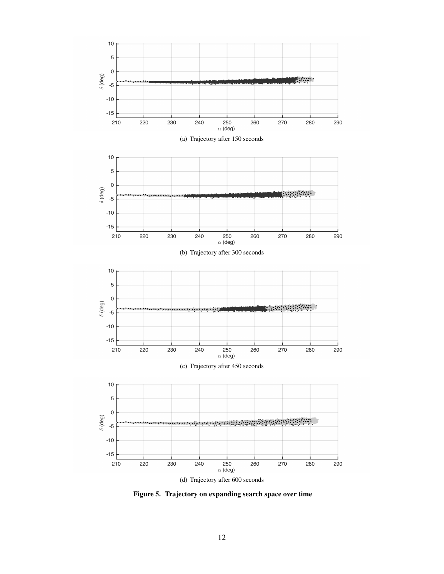

<span id="page-11-0"></span>Figure 5. Trajectory on expanding search space over time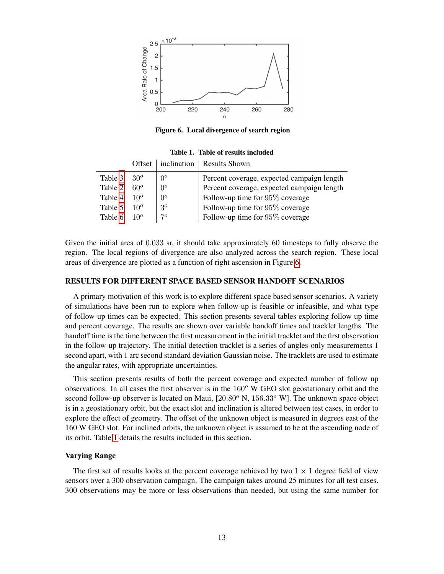

Figure 6. Local divergence of search region

|         | Offset          |       | inclination   Results Shown                |
|---------|-----------------|-------|--------------------------------------------|
| Table 3 | $30^o$          | $0^o$ | Percent coverage, expected campaign length |
| Table 2 | $60^o$          | $0^o$ | Percent coverage, expected campaign length |
| Table 4 | 10 <sup>o</sup> | $0^o$ | Follow-up time for $95\%$ coverage         |
| Table 5 | 10 <sup>o</sup> | $3^o$ | Follow-up time for $95\%$ coverage         |
| Table 6 | 10 <sup>o</sup> | 70    | Follow-up time for 95% coverage            |

<span id="page-12-1"></span><span id="page-12-0"></span>Table 1. Table of results included

Given the initial area of 0.033 sr, it should take approximately 60 timesteps to fully observe the region. The local regions of divergence are also analyzed across the search region. These local areas of divergence are plotted as a function of right ascension in Figure [6.](#page-12-0)

#### RESULTS FOR DIFFERENT SPACE BASED SENSOR HANDOFF SCENARIOS

A primary motivation of this work is to explore different space based sensor scenarios. A variety of simulations have been run to explore when follow-up is feasible or infeasible, and what type of follow-up times can be expected. This section presents several tables exploring follow up time and percent coverage. The results are shown over variable handoff times and tracklet lengths. The handoff time is the time between the first measurement in the initial tracklet and the first observation in the follow-up trajectory. The initial detection tracklet is a series of angles-only measurements 1 second apart, with 1 arc second standard deviation Gaussian noise. The tracklets are used to estimate the angular rates, with appropriate uncertainties.

This section presents results of both the percent coverage and expected number of follow up observations. In all cases the first observer is in the  $160^{\circ}$  W GEO slot geostationary orbit and the second follow-up observer is located on Maui,  $[20.80^{\circ}$  N,  $156.33^{\circ}$  W]. The unknown space object is in a geostationary orbit, but the exact slot and inclination is altered between test cases, in order to explore the effect of geometry. The offset of the unknown object is measured in degrees east of the 160 W GEO slot. For inclined orbits, the unknown object is assumed to be at the ascending node of its orbit. Table [1](#page-12-1) details the results included in this section.

#### Varying Range

The first set of results looks at the percent coverage achieved by two  $1 \times 1$  degree field of view sensors over a 300 observation campaign. The campaign takes around 25 minutes for all test cases. 300 observations may be more or less observations than needed, but using the same number for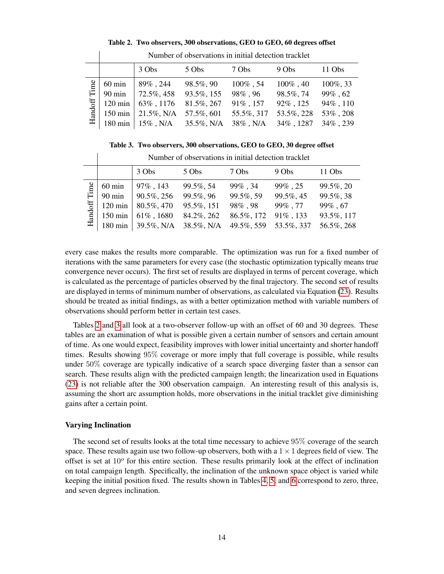|                |                   | 3 Obs         | 5 Obs      | 7 Obs         | $9 \, Obs$   | $11 \, \text{Obs}$ |
|----------------|-------------------|---------------|------------|---------------|--------------|--------------------|
| Time           | $60 \text{ min}$  | $89\%$ , 244  | 98.5%, 90  | $100\%$ , 54  | $100\%$ , 40 | 100%, 33           |
|                | $90 \text{ min}$  | 72.5%, 458    | 93.5%, 155 | $98\%$ , $96$ | 98.5%, 74    | $99\%$ , 62        |
| $\rm{Handoff}$ | $120 \text{ min}$ | $63\%$ , 1176 | 81.5%, 267 | 91%, 157      | 92%, 125     | 94%, 110           |
|                | $150 \text{ min}$ | 21.5%, N/A    | 57.5%, 601 | 55.5%, 317    | 53.5%, 228   | 53%, 208           |
|                | $180 \text{ min}$ | $15\%$ , N/A  | 35.5%, N/A | $38\%$ , N/A  | 34%, 1287    | 34%, 239           |
|                |                   |               |            |               |              |                    |

Table 2. Two observers, 300 observations, GEO to GEO, 60 degrees offset

<span id="page-13-1"></span>Number of observations in initial detection tracklet

<span id="page-13-0"></span>Table 3. Two observers, 300 observations, GEO to GEO, 30 degree offset

|         |                   | Number of observations in initial detection tracklet |            |             |             |            |  |
|---------|-------------------|------------------------------------------------------|------------|-------------|-------------|------------|--|
|         |                   | 3 Obs                                                | 5 Obs      | 7 Obs       | $9 \, Obs$  | 11 Obs     |  |
| Time    | $60 \text{ min}$  | 97%, 143                                             | 99.5%, 54  | $99\%$ , 34 | $99\%$ , 25 | 99.5%, 20  |  |
|         | $90 \text{ min}$  | 90.5%, 256                                           | 99.5%, 96  | 99.5%, 59   | 99.5%, 45   | 99.5%, 38  |  |
|         | $120 \text{ min}$ | 80.5%, 470                                           | 95.5%, 151 | 98%, 98     | 99%, 77     | 99%, 67    |  |
| Handoff | $150 \text{ min}$ | $61\%$ , 1680                                        | 84.2%, 262 | 86.5%, 172  | 91%, 133    | 93.5%, 117 |  |
|         | $180 \text{ min}$ | 39.5%, N/A                                           | 38.5%, N/A | 49.5%, 559  | 53.5%, 337  | 56.5%, 268 |  |

every case makes the results more comparable. The optimization was run for a fixed number of iterations with the same parameters for every case (the stochastic optimization typically means true convergence never occurs). The first set of results are displayed in terms of percent coverage, which is calculated as the percentage of particles observed by the final trajectory. The second set of results are displayed in terms of minimum number of observations, as calculated via Equation [\(23\)](#page-7-0). Results should be treated as initial findings, as with a better optimization method with variable numbers of observations should perform better in certain test cases.

Tables [2](#page-13-1) and [3](#page-13-0) all look at a two-observer follow-up with an offset of 60 and 30 degrees. These tables are an examination of what is possible given a certain number of sensors and certain amount of time. As one would expect, feasibility improves with lower initial uncertainty and shorter handoff times. Results showing 95% coverage or more imply that full coverage is possible, while results under 50% coverage are typically indicative of a search space diverging faster than a sensor can search. These results align with the predicted campaign length; the linearization used in Equations [\(23\)](#page-7-0) is not reliable after the 300 observation campaign. An interesting result of this analysis is, assuming the short arc assumption holds, more observations in the initial tracklet give diminishing gains after a certain point.

#### Varying Inclination

 $\overline{\phantom{a}}$ 

The second set of results looks at the total time necessary to achieve 95% coverage of the search space. These results again use two follow-up observers, both with a  $1 \times 1$  degrees field of view. The offset is set at 10<sup>o</sup> for this entire section. These results primarily look at the effect of inclination on total campaign length. Specifically, the inclination of the unknown space object is varied while keeping the initial position fixed. The results shown in Tables [4,](#page-14-0) [5,](#page-14-1) and [6](#page-14-2) correspond to zero, three, and seven degrees inclination.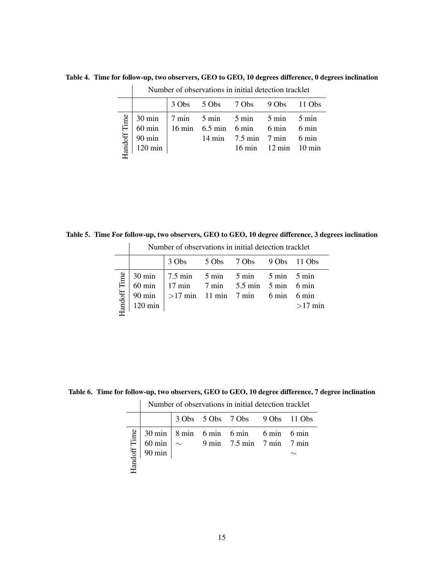<span id="page-14-0"></span>

|              | Number of observations in initial detection tracklet |  |                                                                                                   |                                      |                                                    |  |
|--------------|------------------------------------------------------|--|---------------------------------------------------------------------------------------------------|--------------------------------------|----------------------------------------------------|--|
|              |                                                      |  | 3 Obs 5 Obs 7 Obs 9 Obs 11 Obs                                                                    |                                      |                                                    |  |
| Handoff Time | $90 \text{ min}$<br>$120 \text{ min}$                |  | $30 \text{ min}$ 7 min 5 min 5 min 5 min 5 min<br>60 min $\Big  16$ min 6.5 min 6 min 6 min 6 min | $14 \text{ min}$ 7.5 min 7 min 6 min | $16 \text{ min}$ $12 \text{ min}$ $10 \text{ min}$ |  |

Table 4. Time for follow-up, two observers, GEO to GEO, 10 degrees difference, 0 degrees inclination

 $\overline{1}$ 

 $\mathbb{R}$ 

Table 5. Time For follow-up, two observers, GEO to GEO, 10 degree difference, 3 degrees inclination

<span id="page-14-1"></span>

| 3 Obs 5 Obs 7 Obs 9 Obs 11 Obs                                                                                                                                     |                     |  |  |  |  |  |           |
|--------------------------------------------------------------------------------------------------------------------------------------------------------------------|---------------------|--|--|--|--|--|-----------|
|                                                                                                                                                                    |                     |  |  |  |  |  |           |
| $30 \text{ min}$ 7.5 min 5 min 5 min 5 min 5 min<br>60 min   17 min 7 min 5.5 min 5 min 6 min<br>90 min $  > 17$ min 11 min 7 min 6 min 6 min<br>$120 \text{ min}$ | <b>Iandoff</b> Time |  |  |  |  |  | $>17$ min |

Number of observations in initial detection tracklet

<span id="page-14-2"></span>Table 6. Time for follow-up, two observers, GEO to GEO, 10 degree difference, 7 degree inclination

Number of observations in initial detection tracklet

|  |  | 3 Obs 5 Obs 7 Obs 9 Obs 11 Obs                                                                                                                                                                                                                                                                                                                                                   |  |
|--|--|----------------------------------------------------------------------------------------------------------------------------------------------------------------------------------------------------------------------------------------------------------------------------------------------------------------------------------------------------------------------------------|--|
|  |  | $\begin{array}{c ccccc}\n\underbrace{\overset{\mathsf{def}}{\mathsf{gen}}} & 30 \text{ min} & 8 \text{ min} & 6 \text{ min} & 6 \text{ min} & 6 \text{ min} & 6 \text{ min} \\ 60 \text{ min} & \sim & 9 \text{ min} & 7.5 \text{ min} & 7 \text{ min} & 7 \text{ min} \\ \hline\n\text{reg} & 90 \text{ min} & & \sim & & \sim & \\ \text{eff} & & & & & \sim & \\ \end{array}$ |  |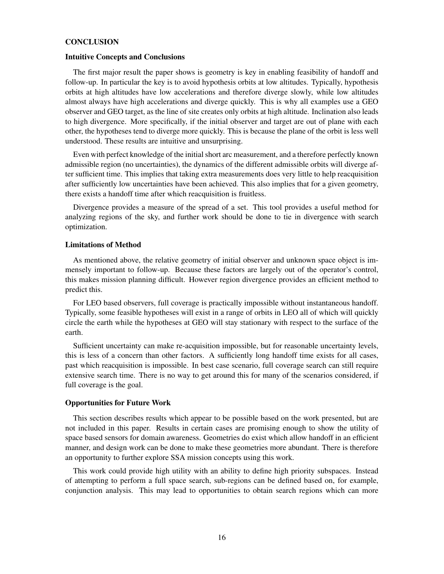#### **CONCLUSION**

#### Intuitive Concepts and Conclusions

The first major result the paper shows is geometry is key in enabling feasibility of handoff and follow-up. In particular the key is to avoid hypothesis orbits at low altitudes. Typically, hypothesis orbits at high altitudes have low accelerations and therefore diverge slowly, while low altitudes almost always have high accelerations and diverge quickly. This is why all examples use a GEO observer and GEO target, as the line of site creates only orbits at high altitude. Inclination also leads to high divergence. More specifically, if the initial observer and target are out of plane with each other, the hypotheses tend to diverge more quickly. This is because the plane of the orbit is less well understood. These results are intuitive and unsurprising.

Even with perfect knowledge of the initial short arc measurement, and a therefore perfectly known admissible region (no uncertainties), the dynamics of the different admissible orbits will diverge after sufficient time. This implies that taking extra measurements does very little to help reacquisition after sufficiently low uncertainties have been achieved. This also implies that for a given geometry, there exists a handoff time after which reacquisition is fruitless.

Divergence provides a measure of the spread of a set. This tool provides a useful method for analyzing regions of the sky, and further work should be done to tie in divergence with search optimization.

#### Limitations of Method

As mentioned above, the relative geometry of initial observer and unknown space object is immensely important to follow-up. Because these factors are largely out of the operator's control, this makes mission planning difficult. However region divergence provides an efficient method to predict this.

For LEO based observers, full coverage is practically impossible without instantaneous handoff. Typically, some feasible hypotheses will exist in a range of orbits in LEO all of which will quickly circle the earth while the hypotheses at GEO will stay stationary with respect to the surface of the earth.

Sufficient uncertainty can make re-acquisition impossible, but for reasonable uncertainty levels, this is less of a concern than other factors. A sufficiently long handoff time exists for all cases, past which reacquisition is impossible. In best case scenario, full coverage search can still require extensive search time. There is no way to get around this for many of the scenarios considered, if full coverage is the goal.

## Opportunities for Future Work

This section describes results which appear to be possible based on the work presented, but are not included in this paper. Results in certain cases are promising enough to show the utility of space based sensors for domain awareness. Geometries do exist which allow handoff in an efficient manner, and design work can be done to make these geometries more abundant. There is therefore an opportunity to further explore SSA mission concepts using this work.

This work could provide high utility with an ability to define high priority subspaces. Instead of attempting to perform a full space search, sub-regions can be defined based on, for example, conjunction analysis. This may lead to opportunities to obtain search regions which can more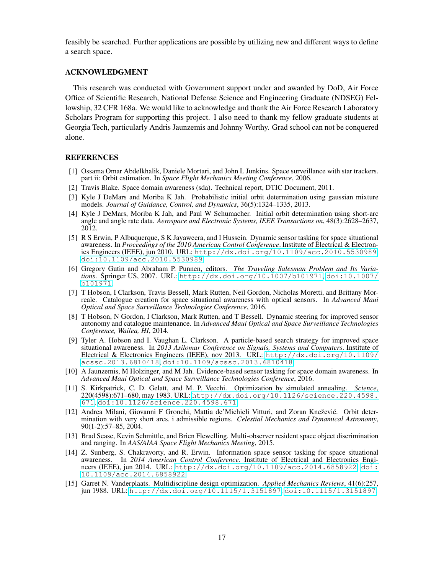feasibly be searched. Further applications are possible by utilizing new and different ways to define a search space.

#### ACKNOWLEDGMENT

This research was conducted with Government support under and awarded by DoD, Air Force Office of Scientific Research, National Defense Science and Engineering Graduate (NDSEG) Fellowship, 32 CFR 168a. We would like to acknowledge and thank the Air Force Research Laboratory Scholars Program for supporting this project. I also need to thank my fellow graduate students at Georgia Tech, particularly Andris Jaunzemis and Johnny Worthy. Grad school can not be conquered alone.

#### REFERENCES

- <span id="page-16-1"></span>[1] Ossama Omar Abdelkhalik, Daniele Mortari, and John L Junkins. Space surveillance with star trackers. part ii: Orbit estimation. In *Space Flight Mechanics Meeting Conference*, 2006.
- <span id="page-16-0"></span>[2] Travis Blake. Space domain awareness (sda). Technical report, DTIC Document, 2011.
- <span id="page-16-7"></span>[3] Kyle J DeMars and Moriba K Jah. Probabilistic initial orbit determination using gaussian mixture models. *Journal of Guidance, Control, and Dynamics*, 36(5):1324–1335, 2013.
- <span id="page-16-6"></span>[4] Kyle J DeMars, Moriba K Jah, and Paul W Schumacher. Initial orbit determination using short-arc angle and angle rate data. *Aerospace and Electronic Systems, IEEE Transactions on*, 48(3):2628–2637, 2012.
- <span id="page-16-2"></span>[5] R S Erwin, P Albuquerque, S K Jayaweera, and I Hussein. Dynamic sensor tasking for space situational awareness. In *Proceedings of the 2010 American Control Conference*. Institute of Electrical & Electronics Engineers (IEEE), jun 2010. URL: <http://dx.doi.org/10.1109/acc.2010.5530989>, [doi:10.1109/acc.2010.5530989](http://dx.doi.org/10.1109/acc.2010.5530989).
- <span id="page-16-11"></span>[6] Gregory Gutin and Abraham P. Punnen, editors. *The Traveling Salesman Problem and Its Variations*. Springer US, 2007. URL: <http://dx.doi.org/10.1007/b101971>, [doi:10.1007/](http://dx.doi.org/10.1007/b101971) [b101971](http://dx.doi.org/10.1007/b101971).
- <span id="page-16-9"></span>[7] T Hobson, I Clarkson, Travis Bessell, Mark Rutten, Neil Gordon, Nicholas Moretti, and Brittany Morreale. Catalogue creation for space situational awareness with optical sensors. In *Advanced Maui Optical and Space Surveillance Technologies Conference*, 2016.
- <span id="page-16-10"></span>[8] T Hobson, N Gordon, I Clarkson, Mark Rutten, and T Bessell. Dynamic steering for improved sensor autonomy and catalogue maintenance. In *Advanced Maui Optical and Space Surveillance Technologies Conference, Wailea, HI*, 2014.
- <span id="page-16-5"></span>[9] Tyler A. Hobson and I. Vaughan L. Clarkson. A particle-based search strategy for improved space situational awareness. In *2013 Asilomar Conference on Signals, Systems and Computers*. Institute of Electrical & Electronics Engineers (IEEE), nov 2013. URL: [http://dx.doi.org/10.1109/](http://dx.doi.org/10.1109/acssc.2013.6810418) [acssc.2013.6810418](http://dx.doi.org/10.1109/acssc.2013.6810418), [doi:10.1109/acssc.2013.6810418](http://dx.doi.org/10.1109/acssc.2013.6810418).
- <span id="page-16-4"></span>[10] A Jaunzemis, M Holzinger, and M Jah. Evidence-based sensor tasking for space domain awareness. In *Advanced Maui Optical and Space Surveillance Technologies Conference*, 2016.
- <span id="page-16-13"></span>[11] S. Kirkpatrick, C. D. Gelatt, and M. P. Vecchi. Optimization by simulated annealing. *Science*, 220(4598):671–680, may 1983. URL: [http://dx.doi.org/10.1126/science.220.4598.](http://dx.doi.org/10.1126/science.220.4598.671) [671](http://dx.doi.org/10.1126/science.220.4598.671), [doi:10.1126/science.220.4598.671](http://dx.doi.org/10.1126/science.220.4598.671).
- <span id="page-16-8"></span>[12] Andrea Milani, Giovanni F Gronchi, Mattia de'Michieli Vitturi, and Zoran Knežević. Orbit determination with very short arcs. i admissible regions. *Celestial Mechanics and Dynamical Astronomy*, 90(1-2):57–85, 2004.
- <span id="page-16-12"></span>[13] Brad Sease, Kevin Schmittle, and Brien Flewelling. Multi-observer resident space object discrimination and ranging. In *AAS/AIAA Space Flight Mechanics Meeting*, 2015.
- <span id="page-16-3"></span>[14] Z. Sunberg, S. Chakravorty, and R. Erwin. Information space sensor tasking for space situational awareness. In *2014 American Control Conference*. Institute of Electrical and Electronics Engineers (IEEE), jun 2014. URL: <http://dx.doi.org/10.1109/acc.2014.6858922>, [doi:](http://dx.doi.org/10.1109/acc.2014.6858922) [10.1109/acc.2014.6858922](http://dx.doi.org/10.1109/acc.2014.6858922).
- <span id="page-16-14"></span>[15] Garret N. Vanderplaats. Multidiscipline design optimization. *Applied Mechanics Reviews*, 41(6):257, jun 1988. URL: <http://dx.doi.org/10.1115/1.3151897>, [doi:10.1115/1.3151897](http://dx.doi.org/10.1115/1.3151897).